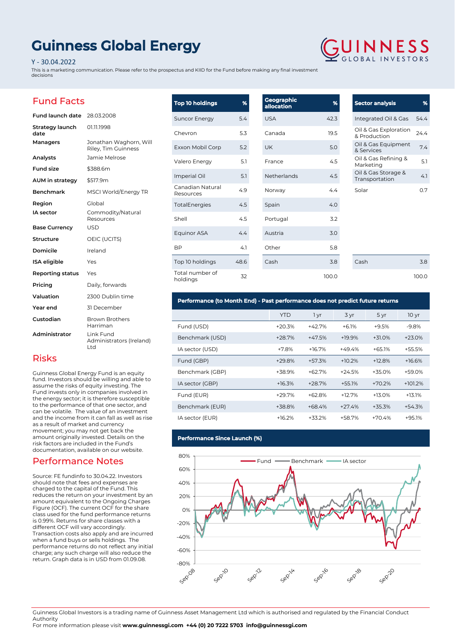# **Guinness Global Energy**

### Y - 30.04.2022

This is a marketing communication. Please refer to the prospectus and KIID for the Fund before making any final investment decisions

# Fund Facts

| <b>Fund launch date</b> | 28.03.2008                                    |
|-------------------------|-----------------------------------------------|
| Strategy launch<br>date | 01.11.1998                                    |
| Managers                | Jonathan Waghorn, Will<br>Riley, Tim Guinness |
| Analysts                | Jamie Melrose                                 |
| <b>Fund size</b>        | \$388.6m                                      |
| AUM in strategy         | \$517.9m                                      |
| <b>Benchmark</b>        | MSCI World/Energy TR                          |
| Region                  | Global                                        |
| <b>IA</b> sector        | Commodity/Natural<br>Resources                |
| <b>Base Currency</b>    | <b>USD</b>                                    |
| Structure               | OEIC (UCITS)                                  |
| Domicile                | Ireland                                       |
| <b>ISA</b> eligible     | Yes                                           |
| Reporting status        | Yes                                           |
| Pricing                 | Daily, forwards                               |
| Valuation               | 2300 Dublin time                              |
| Year end                | 31 December                                   |
| Custodian               | <b>Brown Brothers</b><br>Harriman             |
| Administrator           | Link Fund<br>Administrators (Ireland)<br>Ltd  |

| <b>Top 10 holdings</b>        | %    | Geographic<br>allocation | %     | <b>Sector ana</b>         |
|-------------------------------|------|--------------------------|-------|---------------------------|
| <b>Suncor Energy</b>          | 5.4  | <b>USA</b>               | 42.3  | Integrated                |
| Chevron                       | 5.3  | Canada                   | 19.5  | Oil & Gas E<br>& Producti |
| Exxon Mobil Corp              | 5.2  | <b>UK</b>                | 5.0   | Oil & Gas E<br>& Services |
| Valero Energy                 | 5.1  | France                   | 4.5   | Oil & Gas F<br>Marketing  |
| Imperial Oil                  | 5.1  | Netherlands              | 4.5   | Oil & Gas S<br>Transporta |
| Canadian Natural<br>Resources | 4.9  | Norway                   | 4.4   | Solar                     |
| <b>TotalEnergies</b>          | 4.5  | Spain                    | 4.0   |                           |
| Shell                         | 4.5  | Portugal                 | 3.2   |                           |
| Equinor ASA                   | 4.4  | Austria                  | 3.0   |                           |
| <b>BP</b>                     | 4.1  | Other                    | 5.8   |                           |
| Top 10 holdings               | 48.6 | Cash                     | 3.8   | Cash                      |
| Total number of<br>holdings   | 32   |                          | 100.0 |                           |

## **Sector analysis %** I Oil & Gas 54.4 Oil & Gas Exploration & Production 24.4 Equipment 8. Services<br>8. Services Refining & Marketing 5.1 Storage & vtorage & 4.1<br>ation 4.1

 $3.8$ 100.0

0.7

### **Performance (to Month End) - Past performance does not predict future returns**

|                 | YTD      | 1 yr     | 3 yr     | 5 yr     | 10 <sub>yr</sub> |
|-----------------|----------|----------|----------|----------|------------------|
| Fund (USD)      | $+20.3%$ | $+42.7%$ | $+6.1%$  | $+9.5%$  | $-9.8%$          |
| Benchmark (USD) | $+28.7%$ | $+47.5%$ | $+19.9%$ | $+31.0%$ | $+23.0%$         |
| IA sector (USD) | $+7.8%$  | $+16.7%$ | $+49.4%$ | $+65.1%$ | +55.5%           |
| Fund (GBP)      | $+29.8%$ | $+57.3%$ | $+10.2%$ | $+12.8%$ | $+16.6%$         |
| Benchmark (GBP) | $+38.9%$ | $+62.7%$ | $+24.5%$ | $+35.0%$ | +59.0%           |
| IA sector (GBP) | $+16.3%$ | $+28.7%$ | $+55.1%$ | $+70.2%$ | $+101.2%$        |
| Fund (EUR)      | $+29.7%$ | $+62.8%$ | $+12.7%$ | $+13.0%$ | $+13.1%$         |
| Benchmark (EUR) | $+38.8%$ | $+68.4%$ | $+27.4%$ | $+35.3%$ | $+54.3%$         |
| IA sector (EUR) | $+16.2%$ | $+33.2%$ | +58.7%   | $+70.4%$ | $+95.1%$         |

### **Performance Since Launch (%)**



Guinness Global Investors is a trading name of Guinness Asset Management Ltd which is authorised and regulated by the Financial Conduct Authority

For more information please visit **www.guinnessgi.com +44 (0) 20 7222 5703 info@guinnessgi.com** 

## Risks

Guinness Global Energy Fund is an equity fund. Investors should be willing and able to assume the risks of equity investing. The Fund invests only in companies involved in the energy sector; it is therefore susceptible to the performance of that one sector, and can be volatile. The value of an investment and the income from it can fall as well as rise as a result of market and currency movement; you may not get back the amount originally invested. Details on the risk factors are included in the Fund's documentation, available on our website.

## Performance Notes

Source: FE fundinfo to 30.04.22. Investors should note that fees and expenses are charged to the capital of the Fund. This reduces the return on your investment by an amount equivalent to the Ongoing Charges Figure (OCF). The current OCF for the share class used for the fund performance returns is 0.99%. Returns for share classes with a different OCF will vary accordingly. Transaction costs also apply and are incurred when a fund buys or sells holdings. The performance returns do not reflect any initial charge; any such charge will also reduce the return. Graph data is in USD from 01.09.08.

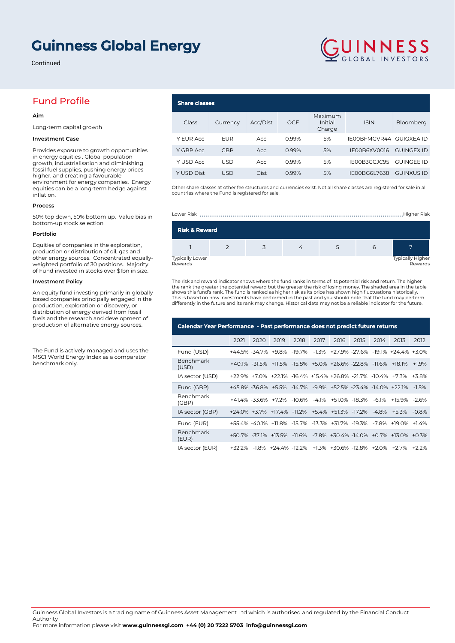# **Guinness Global Energy**

Continued

# Fund Profile

### **Aim**

Long-term capital growth

### **Investment Case**

Provides exposure to growth opportunities in energy equities . Global population growth, industrialisation and diminishing fossil fuel supplies, pushing energy prices higher, and creating a favourable environment for energy companies. Energy equities can be a long-term hedge against inflation.

#### **Process**

50% top down, 50% bottom up. Value bias in bottom-up stock selection.

#### **Portfolio**

Equities of companies in the exploration, production or distribution of oil, gas and other energy sources. Concentrated equallyweighted portfolio of 30 positions. Majority of Fund invested in stocks over \$1bn in size.

### **Investment Policy**

An equity fund investing primarily in globally based companies principally engaged in the production, exploration or discovery, or distribution of energy derived from fossil fuels and the research and development of production of alternative energy sources.

The Fund is actively managed and uses the MSCI World Energy Index as a comparator benchmark only.

## **Share classes**

| Class      | Currency   | Acc/Dist    | <b>OCF</b> | Maximum<br>Initial<br>Charge | <b>ISIN</b>             | Bloomberg         |
|------------|------------|-------------|------------|------------------------------|-------------------------|-------------------|
| Y EUR Acc  | EUR        | Acc         | 0.99%      | 5%                           | IE00BFMGVR44 GUIGXEA ID |                   |
| Y GBP Acc  | <b>GBP</b> | Acc         | 0.99%      | 5%                           | IE00B6XV0016            | <b>GUINGEX ID</b> |
| Y USD Acc  | <b>USD</b> | Acc         | 0.99%      | 5%                           | IE00B3CCJC95            | <b>GUINGEE ID</b> |
| Y USD Dist | <b>USD</b> | <b>Dist</b> | 0.99%      | 5%                           | IE00BG6L7638            | <b>GUINXUS ID</b> |

GUINNESS

Other share classes at other fee structures and currencies exist. Not all share classes are registered for sale in all countries where the Fund is registered for sale.

| Lower Risk<br>Higher Risk  |  |  |  |  |   |                             |  |  |
|----------------------------|--|--|--|--|---|-----------------------------|--|--|
| <b>Risk &amp; Reward</b>   |  |  |  |  |   |                             |  |  |
|                            |  |  |  |  | 6 |                             |  |  |
| Typically Lower<br>Rewards |  |  |  |  |   | Typically Higher<br>Rewards |  |  |

The risk and reward indicator shows where the fund ranks in terms of its potential risk and return. The higher the rank the greater the potential reward but the greater the risk of losing money. The shaded area in the table shows this fund's rank. The fund is ranked as higher risk as its price has shown high fluctuations historically.<br>This is based on how investments have performed in the past and you should note that the fund may perform differently in the future and its rank may change. Historical data may not be a reliable indicator for the future.

| Calendar Year Performance - Past performance does not predict future returns |      |      |      |      |      |                                                              |      |       |                                                                    |         |
|------------------------------------------------------------------------------|------|------|------|------|------|--------------------------------------------------------------|------|-------|--------------------------------------------------------------------|---------|
|                                                                              | 2021 | 2020 | 2019 | 2018 | 2017 | 2016                                                         | 2015 | 2014  | 2013                                                               | 2012    |
| Fund (USD)                                                                   |      |      |      |      |      |                                                              |      |       | +44.5% -34.7% +9.8% -19.7% -1.3% +27.9% -27.6% -19.1% +24.4% +3.0% |         |
| Benchmark<br>(USD)                                                           |      |      |      |      |      | +40.1% -31.5% +11.5% -15.8% +5.0% +26.6% -22.8% -11.6%       |      |       | +18.1%                                                             | $+1.9%$ |
| IA sector (USD)                                                              |      |      |      |      |      | +22.9% +7.0% +22.1% -16.4% +15.4% +26.8% -21.7% -10.4% +7.3% |      |       |                                                                    | $+3.8%$ |
| Fund (GBP)                                                                   |      |      |      |      |      | +45.8% -36.8% +5.5% -14.7% -9.9% +52.5% -23.4% -14.0% +22.1% |      |       |                                                                    | $-1.5%$ |
| Benchmark<br>(GBP)                                                           |      |      |      |      |      | +41.4% -33.6% +7.2% -10.6% -4.1% +51.0% -18.3%               |      | -6.1% | $+15.9\%$ -2.6%                                                    |         |
| IA sector (GBP)                                                              |      |      |      |      |      | +24.0% +3.7% +17.4% -11.2% +5.4% +51.3% -17.2% -4.8%         |      |       | $+5.3%$                                                            | $-0.8%$ |
| Fund (EUR)                                                                   |      |      |      |      |      |                                                              |      |       | +55.4% -40.1% +11.8% -15.7% -13.3% +31.7% -19.3% -7.8% +19.0%      | $+14%$  |
| Benchmark<br>(EUR)                                                           |      |      |      |      |      |                                                              |      |       | +50.7% -37.1% +13.5% -11.6% -7.8% +30.4% -14.0% +0.7% +13.0% +0.3% |         |
| IA sector (EUR)                                                              |      |      |      |      |      | +32.2% -1.8% +24.4% -12.2% +1.3% +30.6% -12.8% +2.0%         |      |       | $+27%$                                                             | $+22%$  |